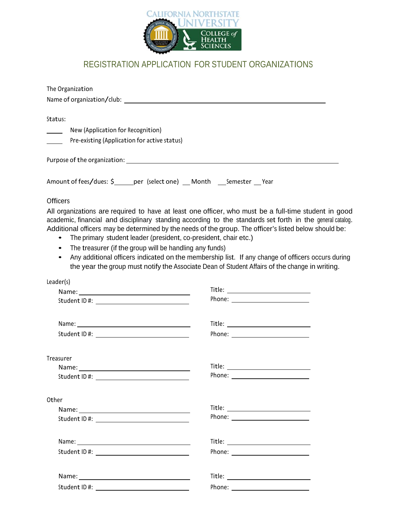

## REGISTRATION APPLICATION FOR STUDENT ORGANIZATIONS

| The Organization                                                                                                                                                                                                              |                                                                                                                                                                                                                                                                                                                                                                                                                                                                                                                                                                                                         |  |
|-------------------------------------------------------------------------------------------------------------------------------------------------------------------------------------------------------------------------------|---------------------------------------------------------------------------------------------------------------------------------------------------------------------------------------------------------------------------------------------------------------------------------------------------------------------------------------------------------------------------------------------------------------------------------------------------------------------------------------------------------------------------------------------------------------------------------------------------------|--|
|                                                                                                                                                                                                                               | Name of organization/club: example of a state of a state of a state of a state of a state of a state of a state of a state of a state of a state of a state of a state of a state of a state of a state of a state of a state                                                                                                                                                                                                                                                                                                                                                                           |  |
| Status:                                                                                                                                                                                                                       |                                                                                                                                                                                                                                                                                                                                                                                                                                                                                                                                                                                                         |  |
| New (Application for Recognition)<br>$\sim 10^{-11}$                                                                                                                                                                          |                                                                                                                                                                                                                                                                                                                                                                                                                                                                                                                                                                                                         |  |
| Pre-existing (Application for active status)                                                                                                                                                                                  |                                                                                                                                                                                                                                                                                                                                                                                                                                                                                                                                                                                                         |  |
|                                                                                                                                                                                                                               | Purpose of the organization: <b>All any of the organization</b> of the state of the organization of the organization:                                                                                                                                                                                                                                                                                                                                                                                                                                                                                   |  |
|                                                                                                                                                                                                                               | Amount of fees/dues: \$ _____ per (select one) __ Month ___ Semester __ Year                                                                                                                                                                                                                                                                                                                                                                                                                                                                                                                            |  |
| <b>Officers</b>                                                                                                                                                                                                               |                                                                                                                                                                                                                                                                                                                                                                                                                                                                                                                                                                                                         |  |
| $\bullet$<br>The treasurer (if the group will be handling any funds)<br>$\bullet$<br>$\bullet$                                                                                                                                | All organizations are required to have at least one officer, who must be a full-time student in good<br>academic, financial and disciplinary standing according to the standards set forth in the general catalog.<br>Additional officers may be determined by the needs of the group. The officer's listed below should be:<br>The primary student leader (president, co-president, chair etc.)<br>Any additional officers indicated on the membership list. If any change of officers occurs during<br>the year the group must notify the Associate Dean of Student Affairs of the change in writing. |  |
| Leader(s)                                                                                                                                                                                                                     |                                                                                                                                                                                                                                                                                                                                                                                                                                                                                                                                                                                                         |  |
|                                                                                                                                                                                                                               |                                                                                                                                                                                                                                                                                                                                                                                                                                                                                                                                                                                                         |  |
|                                                                                                                                                                                                                               |                                                                                                                                                                                                                                                                                                                                                                                                                                                                                                                                                                                                         |  |
|                                                                                                                                                                                                                               |                                                                                                                                                                                                                                                                                                                                                                                                                                                                                                                                                                                                         |  |
|                                                                                                                                                                                                                               |                                                                                                                                                                                                                                                                                                                                                                                                                                                                                                                                                                                                         |  |
| Treasurer                                                                                                                                                                                                                     |                                                                                                                                                                                                                                                                                                                                                                                                                                                                                                                                                                                                         |  |
|                                                                                                                                                                                                                               |                                                                                                                                                                                                                                                                                                                                                                                                                                                                                                                                                                                                         |  |
|                                                                                                                                                                                                                               |                                                                                                                                                                                                                                                                                                                                                                                                                                                                                                                                                                                                         |  |
| Other                                                                                                                                                                                                                         |                                                                                                                                                                                                                                                                                                                                                                                                                                                                                                                                                                                                         |  |
| Name: Name and the service of the service of the service of the service of the service of the service of the service of the service of the service of the service of the service of the service of the service of the service | Title: _________________________                                                                                                                                                                                                                                                                                                                                                                                                                                                                                                                                                                        |  |
|                                                                                                                                                                                                                               |                                                                                                                                                                                                                                                                                                                                                                                                                                                                                                                                                                                                         |  |
|                                                                                                                                                                                                                               |                                                                                                                                                                                                                                                                                                                                                                                                                                                                                                                                                                                                         |  |
|                                                                                                                                                                                                                               |                                                                                                                                                                                                                                                                                                                                                                                                                                                                                                                                                                                                         |  |
| Name:                                                                                                                                                                                                                         | Title:                                                                                                                                                                                                                                                                                                                                                                                                                                                                                                                                                                                                  |  |

StudentID #: Phone: